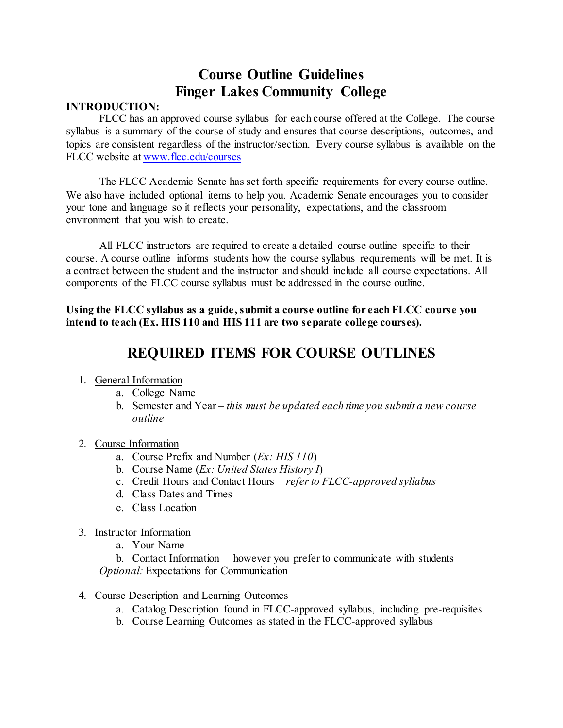## **Course Outline Guidelines Finger Lakes Community College**

## **INTRODUCTION:**

FLCC has an approved course syllabus for each course offered at the College. The course syllabus is a summary of the course of study and ensures that course descriptions, outcomes, and topics are consistent regardless of the instructor/section. Every course syllabus is available on the FLCC website at [www.flcc.edu/courses](http://www.flcc.edu/courses)

The FLCC Academic Senate has set forth specific requirements for every course outline. We also have included optional items to help you. Academic Senate encourages you to consider your tone and language so it reflects your personality, expectations, and the classroom environment that you wish to create.

All FLCC instructors are required to create a detailed course outline specific to their course. A course outline informs students how the course syllabus requirements will be met. It is a contract between the student and the instructor and should include all course expectations. All components of the FLCC course syllabus must be addressed in the course outline.

**Using the FLCC syllabus as a guide, submit a course outline for each FLCC course you intend to teach (Ex. HIS 110 and HIS 111 are two separate college courses).** 

## **REQUIRED ITEMS FOR COURSE OUTLINES**

- 1. General Information
	- a. College Name
	- b. Semester and Year *this must be updated each time you submit a new course outline*
- 2. Course Information
	- a. Course Prefix and Number (*Ex: HIS 110*)
	- b. Course Name (*Ex: United States History I*)
	- c. Credit Hours and Contact Hours *– refer to FLCC-approved syllabus*
	- d. Class Dates and Times
	- e. Class Location
- 3. Instructor Information
	- a. Your Name

b. Contact Information – however you prefer to communicate with students *Optional:* Expectations for Communication

- 4. Course Description and Learning Outcomes
	- a. Catalog Description found in FLCC-approved syllabus, including pre-requisites
	- b. Course Learning Outcomes as stated in the FLCC-approved syllabus